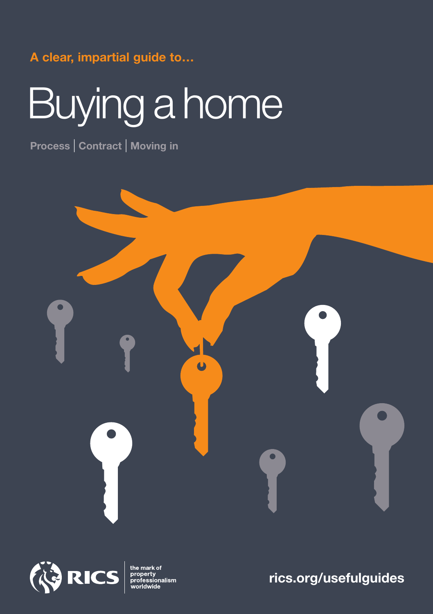#### **A clear, impartial guide to…**

# Buying a home

**Process** | **Contract** | **Moving in**





the mark of<br>property<br>professionalism

### **rics.org/usefulguides**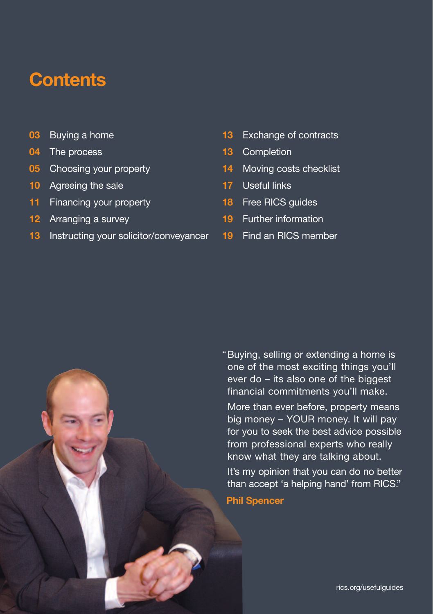## **Contents**

- **03** Buying a home
- **04** The process
- **05** Choosing your property
- **10** Agreeing the sale
- **11** Financing your property
- **12** Arranging a survey
- **13** Instructing your solicitor/conveyancer
- **13** Exchange of contracts
- **13** Completion
- **14** Moving costs checklist
- **17** Useful links
- **18** Free RICS guides
- **19** Further information
- **19** Find an RICS member

"Buying, selling or extending a home is one of the most exciting things you'll ever do – its also one of the biggest financial commitments you'll make.

More than ever before, property means big money – YOUR money. It will pay for you to seek the best advice possible from professional experts who really know what they are talking about.

It's my opinion that you can do no better than accept 'a helping hand' from RICS."

**Phil Spencer**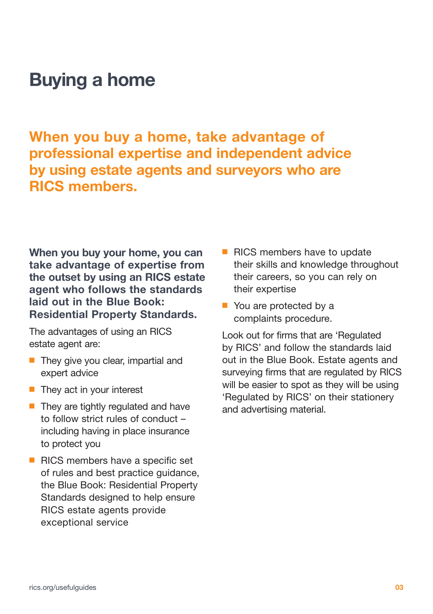### **Buying a home**

**When you buy a home, take advantage of professional expertise and independent advice by using estate agents and surveyors who are RICS members.**

**When you buy your home, you can take advantage of expertise from the outset by using an RICS estate agent who follows the standards laid out in the Blue Book: Residential Property Standards.**

The advantages of using an RICS estate agent are:

- They give you clear, impartial and expert advice
- They act in your interest
- They are tightly regulated and have to follow strict rules of conduct – including having in place insurance to protect you
- RICS members have a specific set of rules and best practice guidance, the Blue Book: Residential Property Standards designed to help ensure RICS estate agents provide exceptional service
- RICS members have to update their skills and knowledge throughout their careers, so you can rely on their expertise
- You are protected by a complaints procedure.

Look out for firms that are 'Regulated by RICS' and follow the standards laid out in the Blue Book. Estate agents and surveying firms that are regulated by RICS will be easier to spot as they will be using 'Regulated by RICS' on their stationery and advertising material.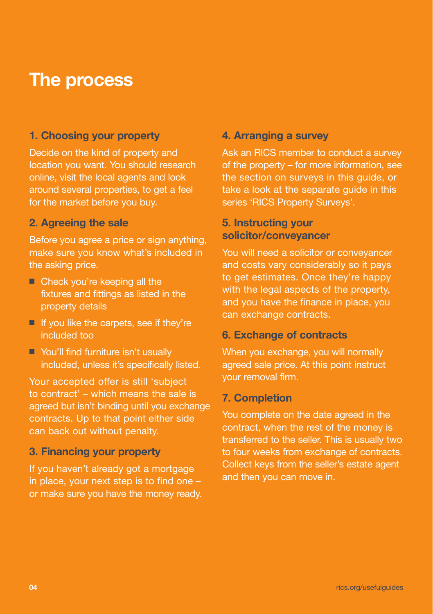### **The process**

#### **1. Choosing your property**

Decide on the kind of property and location you want. You should research online, visit the local agents and look around several properties, to get a feel for the market before you buy.

#### **2. Agreeing the sale**

Before you agree a price or sign anything, make sure you know what's included in the asking price.

- Check you're keeping all the fixtures and fittings as listed in the property details
- If you like the carpets, see if they're included too
- You'll find furniture isn't usually included, unless it's specifically listed.

Your accepted offer is still 'subject to contract' – which means the sale is agreed but isn't binding until you exchange contracts. Up to that point either side can back out without penalty.

#### **3. Financing your property**

If you haven't already got a mortgage in place, your next step is to find one – or make sure you have the money ready.

#### **4. Arranging a survey**

Ask an RICS member to conduct a survey of the property – for more information, see the section on surveys in this guide, or take a look at the separate guide in this series 'RICS Property Surveys'.

#### **5. Instructing your solicitor/conveyancer**

You will need a solicitor or conveyancer and costs vary considerably so it pays to get estimates. Once they're happy with the legal aspects of the property, and you have the finance in place, you can exchange contracts.

#### **6. Exchange of contracts**

When you exchange, you will normally agreed sale price. At this point instruct your removal firm.

#### **7. Completion**

You complete on the date agreed in the contract, when the rest of the money is transferred to the seller. This is usually two to four weeks from exchange of contracts. Collect keys from the seller's estate agent and then you can move in.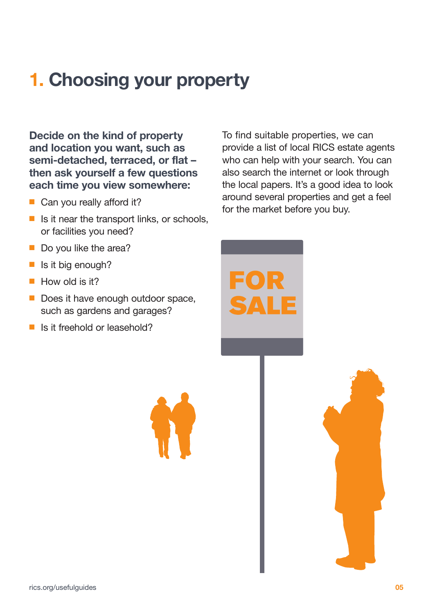# **1. Choosing your property**

**Decide on the kind of property and location you want, such as semi-detached, terraced, or flat – then ask yourself a few questions each time you view somewhere:**

- Can you really afford it?
- $\blacksquare$  Is it near the transport links, or schools, or facilities you need?
- Do you like the area?
- Is it big enough?
- How old is it?
- Does it have enough outdoor space, such as gardens and garages?
- Is it freehold or leasehold?

To find suitable properties, we can provide a list of local RICS estate agents who can help with your search. You can also search the internet or look through the local papers. It's a good idea to look around several properties and get a feel for the market before you buy.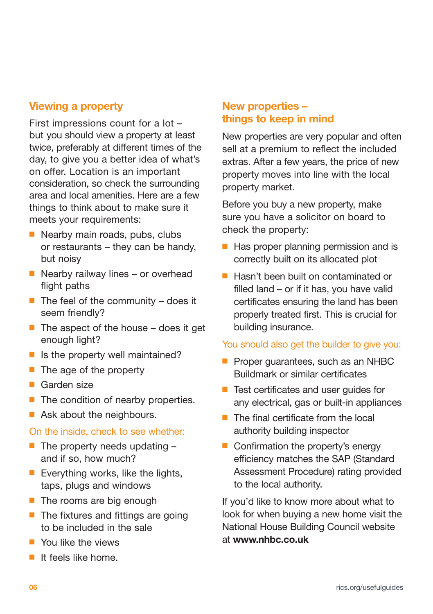#### **Viewing a property**

First impressions count for a lot – but you should view a property at least twice, preferably at different times of the day, to give you a better idea of what's on offer. Location is an important consideration, so check the surrounding area and local amenities. Here are a few things to think about to make sure it meets your requirements:

- Nearby main roads, pubs, clubs or restaurants – they can be handy, but noisy
- Nearby railway lines or overhead flight paths
- $\blacksquare$  The feel of the community does it seem friendly?
- The aspect of the house does it get enough light?
- Is the property well maintained?
- The age of the property
- Garden size
- The condition of nearby properties.
- Ask about the neighbours.

#### On the inside, check to see whether:

- $\blacksquare$  The property needs updating  $\blacksquare$ and if so, how much?
- Everything works, like the lights, taps, plugs and windows
- The rooms are big enough
- The fixtures and fittings are going to be included in the sale
- You like the views
- It feels like home

#### **New properties – things to keep in mind**

New properties are very popular and often sell at a premium to reflect the included extras. After a few years, the price of new property moves into line with the local property market.

Before you buy a new property, make sure you have a solicitor on board to check the property:

- Has proper planning permission and is correctly built on its allocated plot
- Hasn't been built on contaminated or filled land – or if it has, you have valid certificates ensuring the land has been properly treated first. This is crucial for building insurance.

#### You should also get the builder to give you:

- Proper guarantees, such as an NHBC Buildmark or similar certificates
- Test certificates and user quides for any electrical, gas or built-in appliances
- The final certificate from the local authority building inspector
- Confirmation the property's energy efficiency matches the SAP (Standard Assessment Procedure) rating provided to the local authority.

If you'd like to know more about what to look for when buying a new home visit the National House Building Council website at **www.nhbc.co.uk**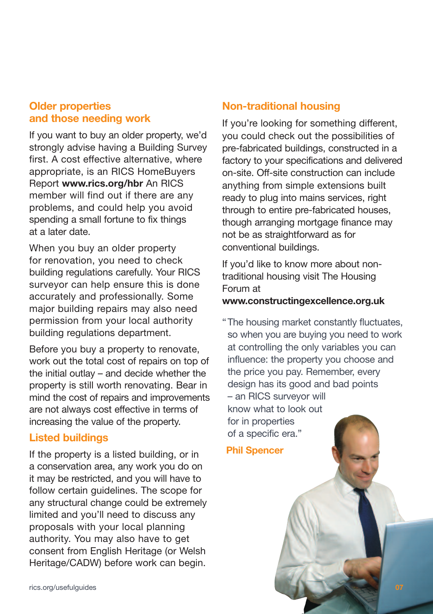#### **Older properties and those needing work**

If you want to buy an older property, we'd strongly advise having a Building Survey first. A cost effective alternative, where appropriate, is an RICS HomeBuyers Report **www.rics.org/hbr** An RICS member will find out if there are any problems, and could help you avoid spending a small fortune to fix things at a later date.

When you buy an older property for renovation, you need to check building regulations carefully. Your RICS surveyor can help ensure this is done accurately and professionally. Some major building repairs may also need permission from your local authority building regulations department.

Before you buy a property to renovate, work out the total cost of repairs on top of the initial outlay – and decide whether the property is still worth renovating. Bear in mind the cost of repairs and improvements are not always cost effective in terms of increasing the value of the property.

#### **Listed buildings**

If the property is a listed building, or in a conservation area, any work you do on it may be restricted, and you will have to follow certain guidelines. The scope for any structural change could be extremely limited and you'll need to discuss any proposals with your local planning authority. You may also have to get consent from English Heritage (or Welsh Heritage/CADW) before work can begin.

#### **Non-traditional housing**

If you're looking for something different, you could check out the possibilities of pre-fabricated buildings, constructed in a factory to your specifications and delivered on-site. Off-site construction can include anything from simple extensions built ready to plug into mains services, right through to entire pre-fabricated houses, though arranging mortgage finance may not be as straightforward as for conventional buildings.

If you'd like to know more about nontraditional housing visit The Housing Forum at

#### **www.constructingexcellence.org.uk**

"The housing market constantly fluctuates, so when you are buying you need to work at controlling the only variables you can influence: the property you choose and the price you pay. Remember, every design has its good and bad points – an RICS surveyor will know what to look out for in properties of a specific era."

"**Phil Spencer**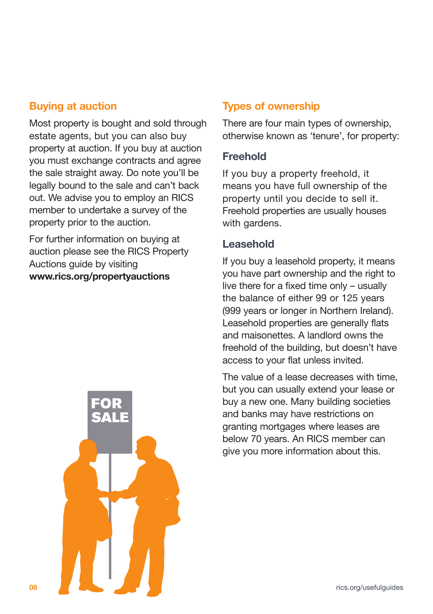#### **Buying at auction**

Most property is bought and sold through estate agents, but you can also buy property at auction. If you buy at auction you must exchange contracts and agree the sale straight away. Do note you'll be legally bound to the sale and can't back out. We advise you to employ an RICS member to undertake a survey of the property prior to the auction.

For further information on buying at auction please see the RICS Property Auctions guide by visiting **www.rics.org/propertyauctions**



#### **Types of ownership**

There are four main types of ownership, otherwise known as 'tenure', for property:

#### **Freehold**

If you buy a property freehold, it means you have full ownership of the property until you decide to sell it. Freehold properties are usually houses with gardens.

#### **Leasehold**

If you buy a leasehold property, it means you have part ownership and the right to live there for a fixed time only – usually the balance of either 99 or 125 years (999 years or longer in Northern Ireland). Leasehold properties are generally flats and maisonettes. A landlord owns the freehold of the building, but doesn't have access to your flat unless invited.

The value of a lease decreases with time, but you can usually extend your lease or buy a new one. Many building societies and banks may have restrictions on granting mortgages where leases are below 70 years. An RICS member can give you more information about this.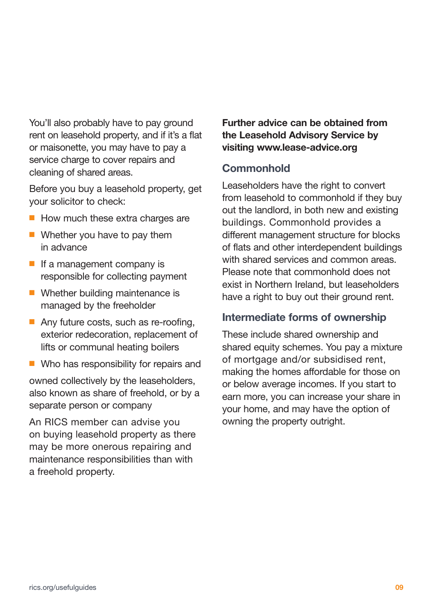You'll also probably have to pay ground rent on leasehold property, and if it's a flat or maisonette, you may have to pay a service charge to cover repairs and cleaning of shared areas.

Before you buy a leasehold property, get your solicitor to check:

- How much these extra charges are
- Whether you have to pay them in advance
- If a management company is responsible for collecting payment
- Whether building maintenance is managed by the freeholder
- Any future costs, such as re-roofing, exterior redecoration, replacement of lifts or communal heating boilers
- Who has responsibility for repairs and

owned collectively by the leaseholders, also known as share of freehold, or by a separate person or company

An RICS member can advise you on buying leasehold property as there may be more onerous repairing and maintenance responsibilities than with a freehold property.

**Further advice can be obtained from the Leasehold Advisory Service by visiting www.lease-advice.org**

#### **Commonhold**

Leaseholders have the right to convert from leasehold to commonhold if they buy out the landlord, in both new and existing buildings. Commonhold provides a different management structure for blocks of flats and other interdependent buildings with shared services and common areas. Please note that commonhold does not exist in Northern Ireland, but leaseholders have a right to buy out their ground rent.

#### **Intermediate forms of ownership**

These include shared ownership and shared equity schemes. You pay a mixture of mortgage and/or subsidised rent, making the homes affordable for those on or below average incomes. If you start to earn more, you can increase your share in your home, and may have the option of owning the property outright.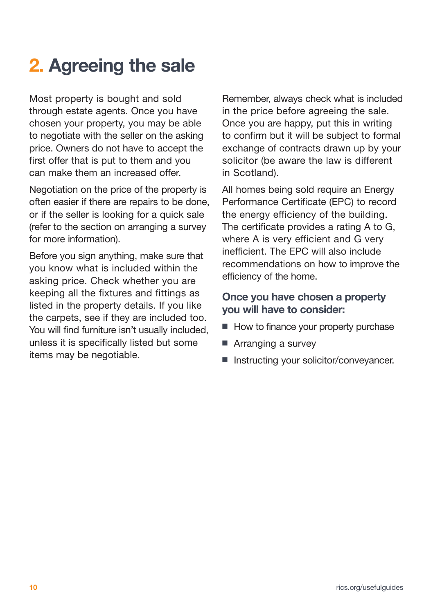# **2. Agreeing the sale**

Most property is bought and sold through estate agents. Once you have chosen your property, you may be able to negotiate with the seller on the asking price. Owners do not have to accept the first offer that is put to them and you can make them an increased offer.

Negotiation on the price of the property is often easier if there are repairs to be done, or if the seller is looking for a quick sale (refer to the section on arranging a survey for more information).

Before you sign anything, make sure that you know what is included within the asking price. Check whether you are keeping all the fixtures and fittings as listed in the property details. If you like the carpets, see if they are included too. You will find furniture isn't usually included, unless it is specifically listed but some items may be negotiable.

Remember, always check what is included in the price before agreeing the sale. Once you are happy, put this in writing to confirm but it will be subject to formal exchange of contracts drawn up by your solicitor (be aware the law is different in Scotland).

All homes being sold require an Energy Performance Certificate (EPC) to record the energy efficiency of the building. The certificate provides a rating A to G, where A is very efficient and G very inefficient. The EPC will also include recommendations on how to improve the efficiency of the home.

#### **Once you have chosen a property you will have to consider:**

- How to finance your property purchase
- Arranging a survey
- Instructing your solicitor/conveyancer.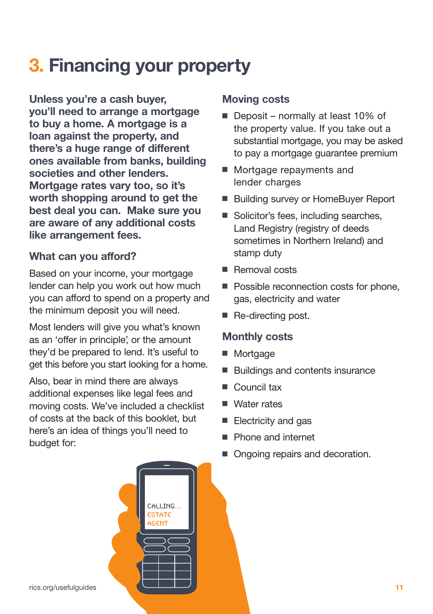# **3. Financing your property**

**Unless you're a cash buyer, you'll need to arrange a mortgage to buy a home. A mortgage is a loan against the property, and there's a huge range of different ones available from banks, building societies and other lenders. Mortgage rates vary too, so it's worth shopping around to get the best deal you can. Make sure you are aware of any additional costs like arrangement fees.**

#### **What can you afford?**

Based on your income, your mortgage lender can help you work out how much you can afford to spend on a property and the minimum deposit you will need.

Most lenders will give you what's known as an 'offer in principle', or the amount they'd be prepared to lend. It's useful to get this before you start looking for a home.

Also, bear in mind there are always additional expenses like legal fees and moving costs. We've included a checklist of costs at the back of this booklet, but here's an idea of things you'll need to budget for:

#### **Moving costs**

- Deposit normally at least 10% of the property value. If you take out a substantial mortgage, you may be asked to pay a mortgage guarantee premium
- Mortgage repayments and lender charges
- Building survey or HomeBuyer Report
- Solicitor's fees, including searches, Land Registry (registry of deeds sometimes in Northern Ireland) and stamp duty
- Removal costs
- Possible reconnection costs for phone, gas, electricity and water
- Re-directing post.

#### **Monthly costs**

- Mortgage
- Buildings and contents insurance
- Council tax
- Water rates
- Electricity and gas
- Phone and internet
- Ongoing repairs and decoration.



CALLING. ESTATE CENT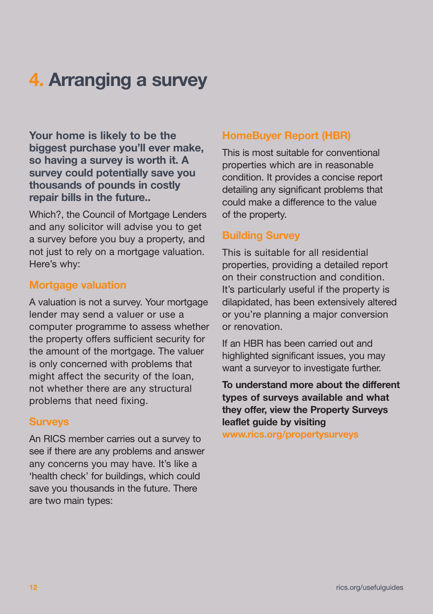# **4. Arranging a survey**

**Your home is likely to be the biggest purchase you'll ever make, so having a survey is worth it. A survey could potentially save you thousands of pounds in costly repair bills in the future..**

Which?, the Council of Mortgage Lenders and any solicitor will advise you to get a survey before you buy a property, and not just to rely on a mortgage valuation. Here's why:

#### **Mortgage valuation**

A valuation is not a survey. Your mortgage lender may send a valuer or use a computer programme to assess whether the property offers sufficient security for the amount of the mortgage. The valuer is only concerned with problems that might affect the security of the loan, not whether there are any structural problems that need fixing.

#### **Surveys**

An RICS member carries out a survey to see if there are any problems and answer any concerns you may have. It's like a 'health check' for buildings, which could save you thousands in the future. There are two main types:

#### **HomeBuyer Report (HBR)**

This is most suitable for conventional properties which are in reasonable condition. It provides a concise report detailing any significant problems that could make a difference to the value of the property.

#### **Building Survey**

This is suitable for all residential properties, providing a detailed report on their construction and condition. It's particularly useful if the property is dilapidated, has been extensively altered or you're planning a major conversion or renovation.

If an HBR has been carried out and highlighted significant issues, you may want a surveyor to investigate further.

**To understand more about the different types of surveys available and what they offer, view the Property Surveys leaflet guide by visiting**

**www.rics.org/propertysurveys**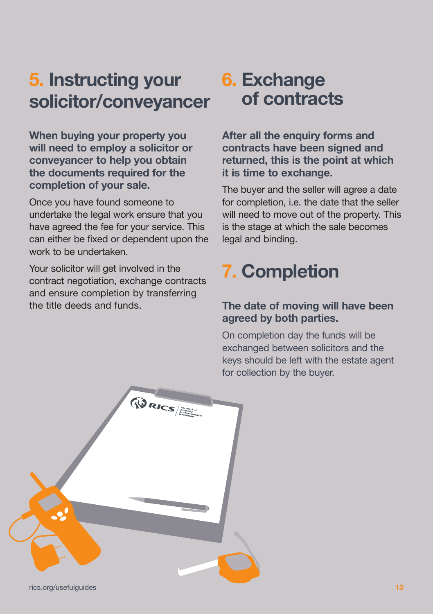### **5. Instructing your solicitor/conveyancer**

**When buying your property you will need to employ a solicitor or conveyancer to help you obtain the documents required for the completion of your sale.**

Once you have found someone to undertake the legal work ensure that you have agreed the fee for your service. This can either be fixed or dependent upon the work to be undertaken.

Your solicitor will get involved in the contract negotiation, exchange contracts and ensure completion by transferring the title deeds and funds.

### **6. Exchange of contracts**

**After all the enquiry forms and contracts have been signed and returned, this is the point at which it is time to exchange.**

The buyer and the seller will agree a date for completion, i.e. the date that the seller will need to move out of the property. This is the stage at which the sale becomes legal and binding.

# **7. Completion**

#### **The date of moving will have been agreed by both parties.**

On completion day the funds will be exchanged between solicitors and the keys should be left with the estate agent for collection by the buyer.

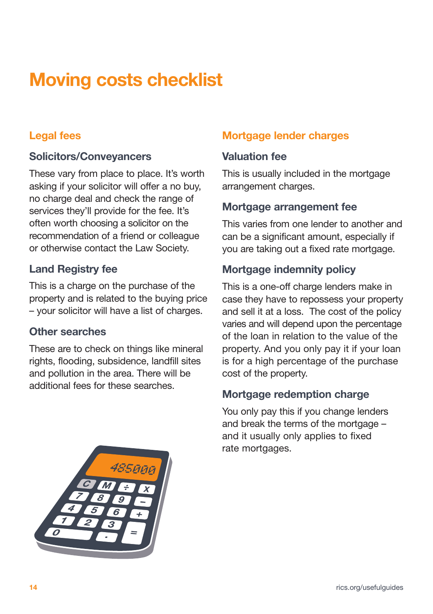# **Moving costs checklist**

#### **Legal fees**

#### **Solicitors/Conveyancers**

These vary from place to place. It's worth asking if your solicitor will offer a no buy, no charge deal and check the range of services they'll provide for the fee. It's often worth choosing a solicitor on the recommendation of a friend or colleague or otherwise contact the Law Society.

#### **Land Registry fee**

This is a charge on the purchase of the property and is related to the buying price – your solicitor will have a list of charges.

#### **Other searches**

These are to check on things like mineral rights, flooding, subsidence, landfill sites and pollution in the area. There will be additional fees for these searches.

#### **Mortgage lender charges**

#### **Valuation fee**

This is usually included in the mortgage arrangement charges.

#### **Mortgage arrangement fee**

This varies from one lender to another and can be a significant amount, especially if you are taking out a fixed rate mortgage.

#### **Mortgage indemnity policy**

This is a one-off charge lenders make in case they have to repossess your property and sell it at a loss. The cost of the policy varies and will depend upon the percentage of the loan in relation to the value of the property. And you only pay it if your loan is for a high percentage of the purchase cost of the property.

#### **Mortgage redemption charge**

You only pay this if you change lenders and break the terms of the mortgage – and it usually only applies to fixed rate mortgages.

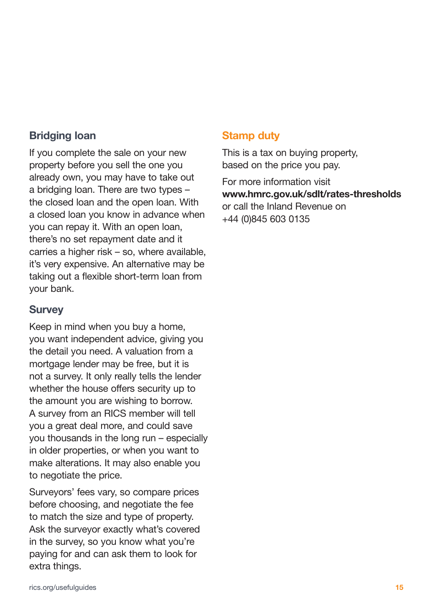#### **Bridging loan**

If you complete the sale on your new property before you sell the one you already own, you may have to take out a bridging loan. There are two types – the closed loan and the open loan. With a closed loan you know in advance when you can repay it. With an open loan, there's no set repayment date and it carries a higher risk – so, where available, it's very expensive. An alternative may be taking out a flexible short-term loan from your bank.

#### **Survey**

Keep in mind when you buy a home, you want independent advice, giving you the detail you need. A valuation from a mortgage lender may be free, but it is not a survey. It only really tells the lender whether the house offers security up to the amount you are wishing to borrow. A survey from an RICS member will tell you a great deal more, and could save you thousands in the long run – especially in older properties, or when you want to make alterations. It may also enable you to negotiate the price.

Surveyors' fees vary, so compare prices before choosing, and negotiate the fee to match the size and type of property. Ask the surveyor exactly what's covered in the survey, so you know what you're paying for and can ask them to look for extra things.

#### **Stamp duty**

This is a tax on buying property, based on the price you pay.

For more information visit **www.hmrc.gov.uk/sdlt/rates-thresholds** or call the Inland Revenue on +44 (0)845 603 0135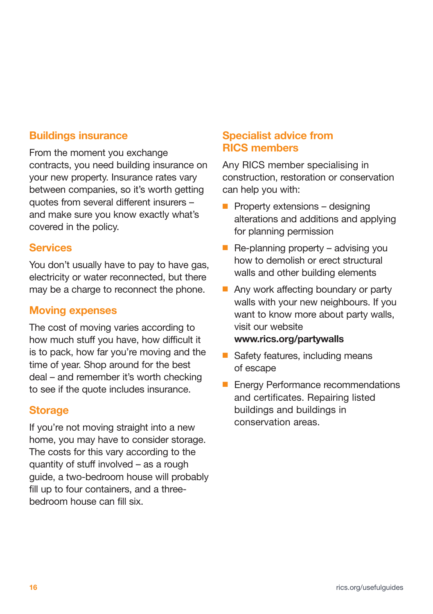#### **Buildings insurance**

From the moment you exchange contracts, you need building insurance on your new property. Insurance rates vary between companies, so it's worth getting quotes from several different insurers – and make sure you know exactly what's covered in the policy.

#### **Services**

You don't usually have to pay to have gas, electricity or water reconnected, but there may be a charge to reconnect the phone.

#### **Moving expenses**

The cost of moving varies according to how much stuff you have, how difficult it is to pack, how far you're moving and the time of year. Shop around for the best deal – and remember it's worth checking to see if the quote includes insurance.

#### **Storage**

If you're not moving straight into a new home, you may have to consider storage. The costs for this vary according to the quantity of stuff involved – as a rough guide, a two-bedroom house will probably fill up to four containers, and a threebedroom house can fill six.

#### **Specialist advice from RICS members**

Any RICS member specialising in construction, restoration or conservation can help you with:

- Property extensions designing alterations and additions and applying for planning permission
- $\blacksquare$  Re-planning property advising you how to demolish or erect structural walls and other building elements
- Any work affecting boundary or party walls with your new neighbours. If you want to know more about party walls, visit our website **www.rics.org/partywalls**
- Safety features, including means of escape
- Energy Performance recommendations and certificates. Repairing listed buildings and buildings in conservation areas.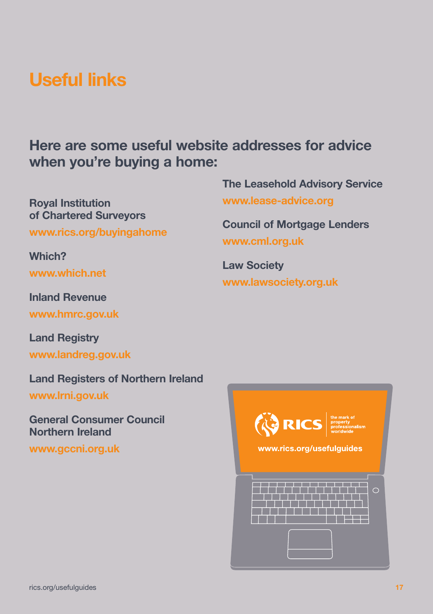### **Useful links**

**Here are some useful website addresses for advice when you're buying a home:**

**Royal Institution of Chartered Surveyors**

**www.rics.org/buyingahome**

**Which?**

**www.which.net**

**Inland Revenue**

**www.hmrc.gov.uk**

**Land Registry**

**www.landreg.gov.uk**

**Land Registers of Northern Ireland www.lrni.gov.uk**

**General Consumer Council Northern Ireland**

**www.gccni.org.uk**

**EXICS property**<br>and **RICS property**<br>mortelwide www.rics.org/usefulguides ╶╴╎╴╎╴╎╶╎╴╎╴╎╴┆╴╷╵╷╵╷╵╷╵╷╵╷ فالمنافذ والمستحيل والمتراوية a a shekara المستحقق والمتحاولات

**The Leasehold Advisory Service**

**Council of Mortgage Lenders**

**www.lease-advice.org**

**www.lawsociety.org.uk**

**www.cml.org.uk**

**Law Society**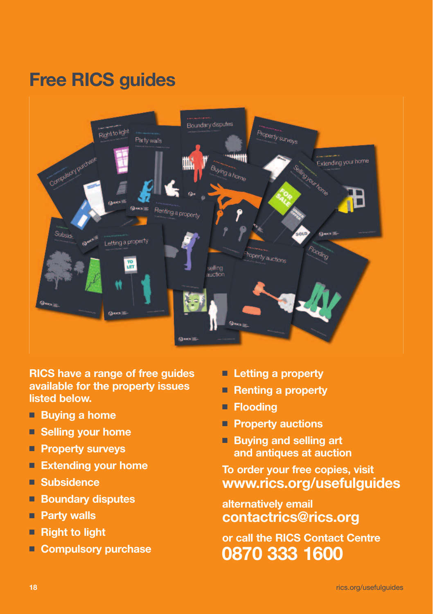# **Free RICS guides**



**RICS have a range of free guides available for the property issues listed below.**

- **Buying a home**
- **Selling** your home
- **Property surveys**
- **Extending your home**
- **Subsidence**
- **Boundary** disputes
- **Party walls**
- **Right** to light
- **Compulsory purchase**
- **Letting a property**
- **Renting** a property
- **Flooding**
- **Property auctions**
- **Buying and selling art and antiques at auction**

**To order your free copies, visit www.rics.org/usefulguides**

**alternatively email contactrics@rics.org**

**or call the RICS Contact Centre 0870 333 1600**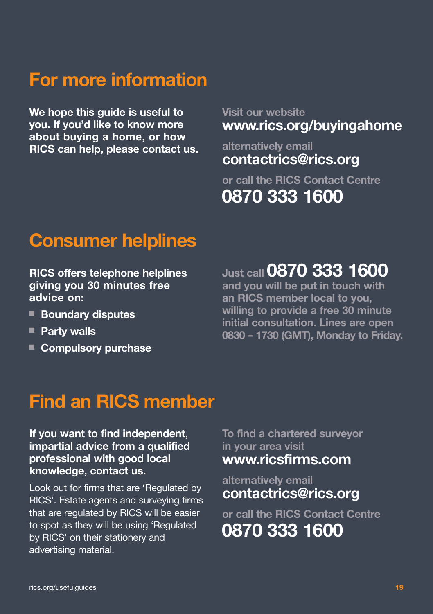### **For more information**

**We hope this guide is useful to you. If you'd like to know more about buying a home, or how RICS can help, please contact us.** **Visit our website www.rics.org/buyingahome**

**alternatively email contactrics@rics.org**

**or call the RICS Contact Centre 0870 333 1600**

### **Consumer helplines**

**RICS offers telephone helplines giving you 30 minutes free advice on:**

- **Boundary disputes**
- **Party walls**
- **Compulsory** purchase

**Just call 0870 333 1600**

**and you will be put in touch with an RICS member local to you, willing to provide a free 30 minute initial consultation. Lines are open 0830 – 1730 (GMT), Monday to Friday.**

### **Find an RICS member**

#### **If you want to find independent, impartial advice from a qualified professional with good local knowledge, contact us.**

Look out for firms that are 'Regulated by RICS'. Estate agents and surveying firms that are regulated by RICS will be easier to spot as they will be using 'Regulated by RICS' on their stationery and advertising material.

**To find a chartered surveyor in your area visit www.ricsfirms.com**

**alternatively email contactrics@rics.org**

**or call the RICS Contact Centre 0870 333 1600**